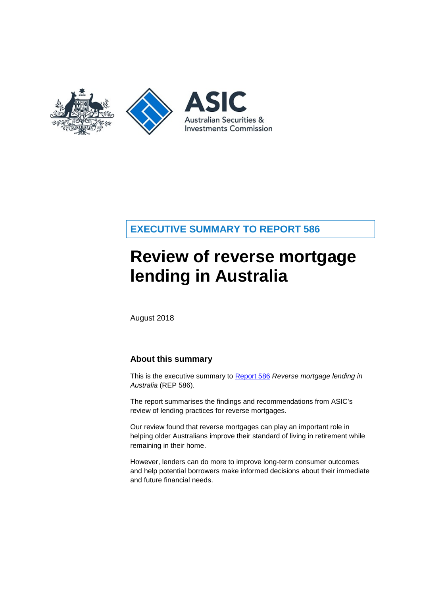

# **EXECUTIVE SUMMARY TO REPORT 586**

# **Review of reverse mortgage lending in Australia**

August 2018

## **About this summary**

This is the executive summary to [Report 586](https://asic.gov.au/regulatory-resources/find-a-document/find-a-regulatory-document/?filter=Report&find=all) *Reverse mortgage lending in Australia* (REP 586).

The report summarises the findings and recommendations from ASIC's review of lending practices for reverse mortgages.

Our review found that reverse mortgages can play an important role in helping older Australians improve their standard of living in retirement while remaining in their home.

However, lenders can do more to improve long-term consumer outcomes and help potential borrowers make informed decisions about their immediate and future financial needs.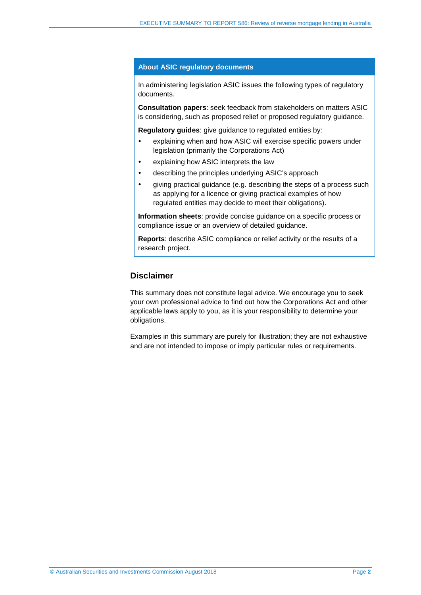#### **About ASIC regulatory documents**

In administering legislation ASIC issues the following types of regulatory documents.

**Consultation papers**: seek feedback from stakeholders on matters ASIC is considering, such as proposed relief or proposed regulatory guidance.

**Regulatory guides**: give guidance to regulated entities by:

- explaining when and how ASIC will exercise specific powers under legislation (primarily the Corporations Act)
- explaining how ASIC interprets the law
- describing the principles underlying ASIC's approach
- giving practical guidance (e.g. describing the steps of a process such as applying for a licence or giving practical examples of how regulated entities may decide to meet their obligations).

**Information sheets**: provide concise guidance on a specific process or compliance issue or an overview of detailed guidance.

**Reports**: describe ASIC compliance or relief activity or the results of a research project.

## **Disclaimer**

This summary does not constitute legal advice. We encourage you to seek your own professional advice to find out how the Corporations Act and other applicable laws apply to you, as it is your responsibility to determine your obligations.

Examples in this summary are purely for illustration; they are not exhaustive and are not intended to impose or imply particular rules or requirements.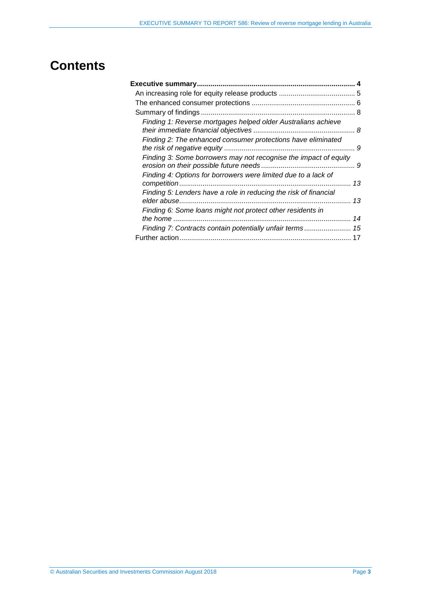# **Contents**

| Finding 1: Reverse mortgages helped older Australians achieve    |    |
|------------------------------------------------------------------|----|
| Finding 2: The enhanced consumer protections have eliminated     | 9  |
| Finding 3: Some borrowers may not recognise the impact of equity |    |
| Finding 4: Options for borrowers were limited due to a lack of   | 13 |
| Finding 5: Lenders have a role in reducing the risk of financial | 13 |
| Finding 6: Some loans might not protect other residents in       | 14 |
|                                                                  |    |
|                                                                  |    |
|                                                                  |    |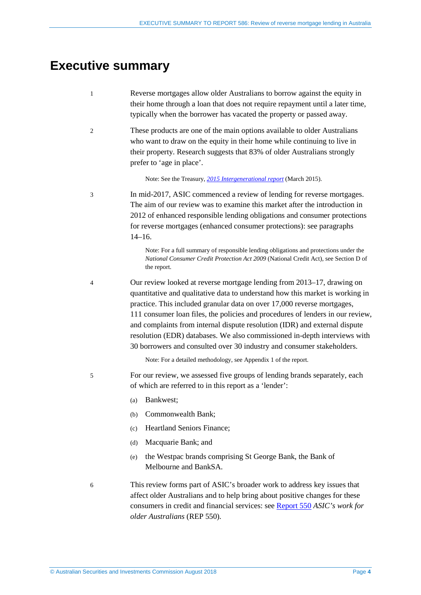# <span id="page-3-0"></span>**Executive summary**

- 1 Reverse mortgages allow older Australians to borrow against the equity in their home through a loan that does not require repayment until a later time, typically when the borrower has vacated the property or passed away.
- 2 These products are one of the main options available to older Australians who want to draw on the equity in their home while continuing to live in their property. Research suggests that 83% of older Australians strongly prefer to 'age in place'.

Note: See the Treasury, *[2015 Intergenerational report](https://treasury.gov.au/publication/2015-intergenerational-report/)* (March 2015).

3 In mid-2017, ASIC commenced a review of lending for reverse mortgages. The aim of our review was to examine this market after the introduction in 2012 of enhanced responsible lending obligations and consumer protections for reverse mortgages (enhanced consumer protections): see paragraphs [14–](#page-5-1)[16.](#page-5-2)

> Note: For a full summary of responsible lending obligations and protections under the *National Consumer Credit Protection Act 2009* (National Credit Act), see Section D of the report.

4 Our review looked at reverse mortgage lending from 2013–17, drawing on quantitative and qualitative data to understand how this market is working in practice. This included granular data on over 17,000 reverse mortgages, 111 consumer loan files, the policies and procedures of lenders in our review, and complaints from internal dispute resolution (IDR) and external dispute resolution (EDR) databases. We also commissioned in-depth interviews with 30 borrowers and consulted over 30 industry and consumer stakeholders.

Note: For a detailed methodology, see Appendix 1 of the report.

5 For our review, we assessed five groups of lending brands separately, each of which are referred to in this report as a 'lender':

- (a) Bankwest;
- (b) Commonwealth Bank;
- (c) Heartland Seniors Finance;
- (d) Macquarie Bank; and
- (e) the Westpac brands comprising St George Bank, the Bank of Melbourne and BankSA.

6 This review forms part of ASIC's broader work to address key issues that affect older Australians and to help bring about positive changes for these consumers in credit and financial services: see [Report 550](https://asic.gov.au/regulatory-resources/find-a-document/reports/rep-550-asics-work-for-older-australians/) *ASIC's work for older Australians* (REP 550)*.*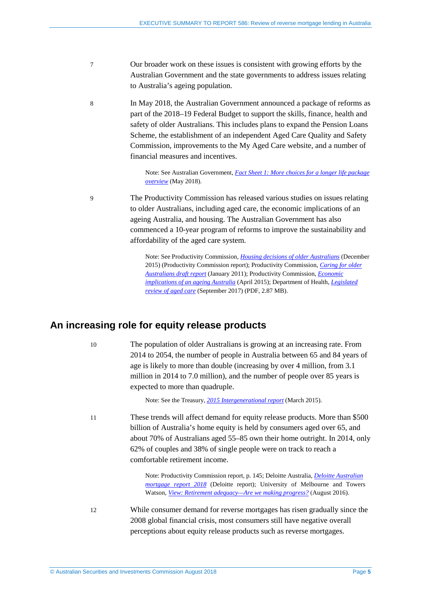- 7 Our broader work on these issues is consistent with growing efforts by the Australian Government and the state governments to address issues relating to Australia's ageing population.
- 8 In May 2018, the Australian Government announced a package of reforms as part of the 2018–19 Federal Budget to support the skills, finance, health and safety of older Australians. This includes plans to expand the Pension Loans Scheme, the establishment of an independent Aged Care Quality and Safety Commission, improvements to the My Aged Care website, and a number of financial measures and incentives.

Note: See Australian Government, *[Fact Sheet 1: More choices for a longer life package](https://www.budget.gov.au/2018-19/content/factsheets/1-more-choices.html)  [overview](https://www.budget.gov.au/2018-19/content/factsheets/1-more-choices.html)* (May 2018).

9 The Productivity Commission has released various studies on issues relating to older Australians, including aged care, the economic implications of an ageing Australia, and housing. The Australian Government has also commenced a 10-year program of reforms to improve the sustainability and affordability of the aged care system.

> Note: See Productivity Commission, *[Housing decisions of older Australians](https://www.pc.gov.au/research/completed/housing-decisions-older-australians)* (December 2015) (Productivity Commission report); Productivity Commission, *[Caring for older](https://www.pc.gov.au/inquiries/completed/aged-care)  [Australians draft report](https://www.pc.gov.au/inquiries/completed/aged-care)* (January 2011); Productivity Commission, *[Economic](https://www.pc.gov.au/inquiries/completed/ageing)  [implications of an ageing Australia](https://www.pc.gov.au/inquiries/completed/ageing)* (April 2015); Department of Health, *[Legislated](https://agedcare.health.gov.au/sites/g/files/net1426/f/documents/08_2017/legislated_review_of_aged_care_2017.pdf)  [review of aged care](https://agedcare.health.gov.au/sites/g/files/net1426/f/documents/08_2017/legislated_review_of_aged_care_2017.pdf)* (September 2017) (PDF, 2.87 MB).

## <span id="page-4-0"></span>**An increasing role for equity release products**

10 The population of older Australians is growing at an increasing rate. From 2014 to 2054, the number of people in Australia between 65 and 84 years of age is likely to more than double (increasing by over 4 million, from 3.1 million in 2014 to 7.0 million), and the number of people over 85 years is expected to more than quadruple.

Note: See the Treasury, *[2015 Intergenerational report](https://treasury.gov.au/publication/2015-intergenerational-report/)* (March 2015).

11 These trends will affect demand for equity release products. More than \$500 billion of Australia's home equity is held by consumers aged over 65, and about 70% of Australians aged 55–85 own their home outright. In 2014, only 62% of couples and 38% of single people were on track to reach a comfortable retirement income.

> Note: Productivity Commission report, p. 145; Deloitte Australia, *[Deloitte Australian](https://www2.deloitte.com/au/en/pages/financial-services/articles/mortgage-report-2015.html)  [mortgage report 201](https://www2.deloitte.com/au/en/pages/financial-services/articles/mortgage-report-2015.html)8* (Deloitte report); University of Melbourne and Towers Watson, *[View: Retirement adequacy—Are we making pro](https://www.towerswatson.com/en-AU/Insights/Newsletters/Asia-Pacific/view/2016/retirement-adequacy-are-we-still-making-progress)gress?* (August 2016).

12 While consumer demand for reverse mortgages has risen gradually since the 2008 global financial crisis, most consumers still have negative overall perceptions about equity release products such as reverse mortgages.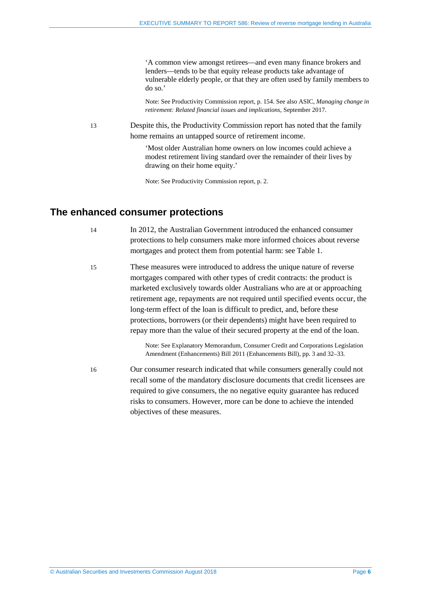'A common view amongst retirees—and even many finance brokers and lenders—tends to be that equity release products take advantage of vulnerable elderly people, or that they are often used by family members to do so.'

Note: See Productivity Commission report, p. 154. See also ASIC, *Managing change in retirement: Related financial issues and implications*, September 2017.

13 Despite this, the Productivity Commission report has noted that the family home remains an untapped source of retirement income.

> 'Most older Australian home owners on low incomes could achieve a modest retirement living standard over the remainder of their lives by drawing on their home equity.'

Note: See Productivity Commission report, p. 2.

## <span id="page-5-1"></span><span id="page-5-0"></span>**The enhanced consumer protections**

14 In 2012, the Australian Government introduced the enhanced consumer protections to help consumers make more informed choices about reverse mortgages and protect them from potential harm: see [Table 1.](#page-6-0)

15 These measures were introduced to address the unique nature of reverse mortgages compared with other types of credit contracts: the product is marketed exclusively towards older Australians who are at or approaching retirement age, repayments are not required until specified events occur, the long-term effect of the loan is difficult to predict, and, before these protections, borrowers (or their dependents) might have been required to repay more than the value of their secured property at the end of the loan.

> Note: See Explanatory Memorandum, Consumer Credit and Corporations Legislation Amendment (Enhancements) Bill 2011 (Enhancements Bill), pp. 3 and 32–33.

<span id="page-5-2"></span>16 Our consumer research indicated that while consumers generally could not recall some of the mandatory disclosure documents that credit licensees are required to give consumers, the no negative equity guarantee has reduced risks to consumers. However, more can be done to achieve the intended objectives of these measures.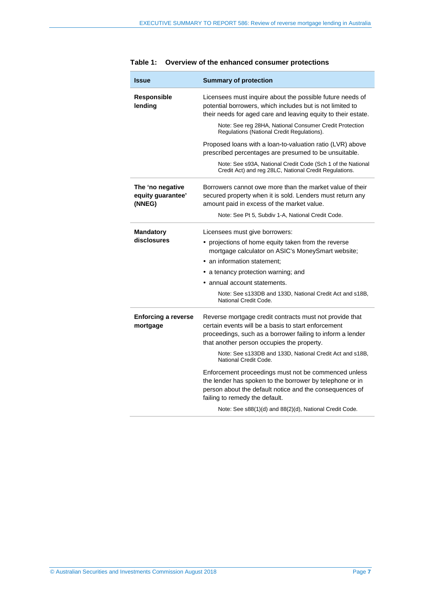<span id="page-6-0"></span>

| <b>Summary of protection</b>                                                                                                                                                                                               |  |
|----------------------------------------------------------------------------------------------------------------------------------------------------------------------------------------------------------------------------|--|
| Licensees must inquire about the possible future needs of<br>potential borrowers, which includes but is not limited to<br>their needs for aged care and leaving equity to their estate.                                    |  |
| Note: See reg 28HA, National Consumer Credit Protection<br>Regulations (National Credit Regulations).                                                                                                                      |  |
| Proposed loans with a loan-to-valuation ratio (LVR) above<br>prescribed percentages are presumed to be unsuitable.                                                                                                         |  |
| Note: See s93A, National Credit Code (Sch 1 of the National<br>Credit Act) and reg 28LC, National Credit Regulations.                                                                                                      |  |
| Borrowers cannot owe more than the market value of their<br>secured property when it is sold. Lenders must return any<br>amount paid in excess of the market value.                                                        |  |
| Note: See Pt 5, Subdiv 1-A, National Credit Code.                                                                                                                                                                          |  |
| Licensees must give borrowers:                                                                                                                                                                                             |  |
| • projections of home equity taken from the reverse<br>mortgage calculator on ASIC's MoneySmart website;                                                                                                                   |  |
| • an information statement;                                                                                                                                                                                                |  |
| • a tenancy protection warning; and                                                                                                                                                                                        |  |
| • annual account statements.                                                                                                                                                                                               |  |
| Note: See s133DB and 133D, National Credit Act and s18B,<br>National Credit Code.                                                                                                                                          |  |
| Reverse mortgage credit contracts must not provide that<br>certain events will be a basis to start enforcement<br>proceedings, such as a borrower failing to inform a lender<br>that another person occupies the property. |  |
| Note: See s133DB and 133D, National Credit Act and s18B,<br>National Credit Code.                                                                                                                                          |  |
| Enforcement proceedings must not be commenced unless<br>the lender has spoken to the borrower by telephone or in<br>person about the default notice and the consequences of<br>failing to remedy the default.              |  |
| Note: See s88(1)(d) and 88(2)(d), National Credit Code.                                                                                                                                                                    |  |
|                                                                                                                                                                                                                            |  |

#### **Table 1: Overview of the enhanced consumer protections**

÷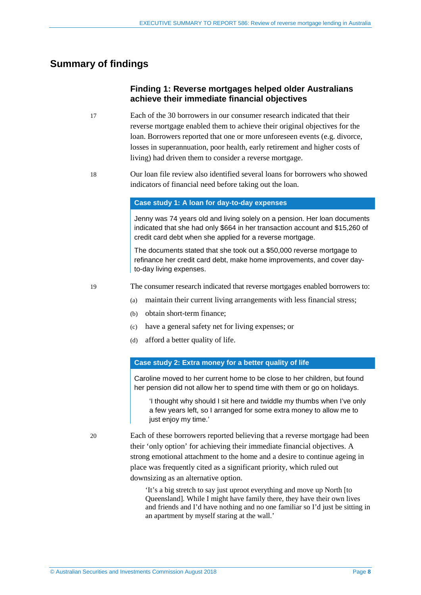## <span id="page-7-1"></span><span id="page-7-0"></span>**Summary of findings**

## **Finding 1: Reverse mortgages helped older Australians achieve their immediate financial objectives**

- 17 Each of the 30 borrowers in our consumer research indicated that their reverse mortgage enabled them to achieve their original objectives for the loan. Borrowers reported that one or more unforeseen events (e.g. divorce, losses in superannuation, poor health, early retirement and higher costs of living) had driven them to consider a reverse mortgage.
- 18 Our loan file review also identified several loans for borrowers who showed indicators of financial need before taking out the loan.

#### **Case study 1: A loan for day-to-day expenses**

Jenny was 74 years old and living solely on a pension. Her loan documents indicated that she had only \$664 in her transaction account and \$15,260 of credit card debt when she applied for a reverse mortgage.

The documents stated that she took out a \$50,000 reverse mortgage to refinance her credit card debt, make home improvements, and cover dayto-day living expenses.

- 19 The consumer research indicated that reverse mortgages enabled borrowers to:
	- (a) maintain their current living arrangements with less financial stress;
	- (b) obtain short-term finance;
	- (c) have a general safety net for living expenses; or
	- (d) afford a better quality of life.

#### **Case study 2: Extra money for a better quality of life**

Caroline moved to her current home to be close to her children, but found her pension did not allow her to spend time with them or go on holidays.

 'I thought why should I sit here and twiddle my thumbs when I've only a few years left, so I arranged for some extra money to allow me to just enjoy my time.'

20 Each of these borrowers reported believing that a reverse mortgage had been their 'only option' for achieving their immediate financial objectives. A strong emotional attachment to the home and a desire to continue ageing in place was frequently cited as a significant priority, which ruled out downsizing as an alternative option.

> 'It's a big stretch to say just uproot everything and move up North [to Queensland]. While I might have family there, they have their own lives and friends and I'd have nothing and no one familiar so I'd just be sitting in an apartment by myself staring at the wall.'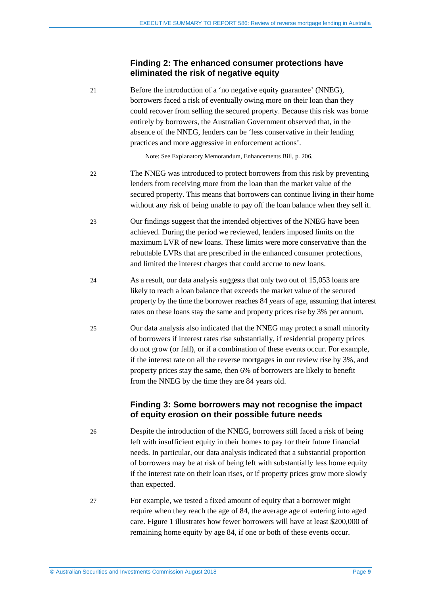### **Finding 2: The enhanced consumer protections have eliminated the risk of negative equity**

<span id="page-8-0"></span>21 Before the introduction of a 'no negative equity guarantee' (NNEG), borrowers faced a risk of eventually owing more on their loan than they could recover from selling the secured property. Because this risk was borne entirely by borrowers, the Australian Government observed that, in the absence of the NNEG, lenders can be 'less conservative in their lending practices and more aggressive in enforcement actions'.

Note: See Explanatory Memorandum, Enhancements Bill, p. 206.

- 22 The NNEG was introduced to protect borrowers from this risk by preventing lenders from receiving more from the loan than the market value of the secured property. This means that borrowers can continue living in their home without any risk of being unable to pay off the loan balance when they sell it.
- 23 Our findings suggest that the intended objectives of the NNEG have been achieved. During the period we reviewed, lenders imposed limits on the maximum LVR of new loans. These limits were more conservative than the rebuttable LVRs that are prescribed in the enhanced consumer protections, and limited the interest charges that could accrue to new loans.
- 24 As a result, our data analysis suggests that only two out of 15,053 loans are likely to reach a loan balance that exceeds the market value of the secured property by the time the borrower reaches 84 years of age, assuming that interest rates on these loans stay the same and property prices rise by 3% per annum.
- 25 Our data analysis also indicated that the NNEG may protect a small minority of borrowers if interest rates rise substantially, if residential property prices do not grow (or fall), or if a combination of these events occur. For example, if the interest rate on all the reverse mortgages in our review rise by 3%, and property prices stay the same, then 6% of borrowers are likely to benefit from the NNEG by the time they are 84 years old.

## **Finding 3: Some borrowers may not recognise the impact of equity erosion on their possible future needs**

- <span id="page-8-1"></span>26 Despite the introduction of the NNEG, borrowers still faced a risk of being left with insufficient equity in their homes to pay for their future financial needs. In particular, our data analysis indicated that a substantial proportion of borrowers may be at risk of being left with substantially less home equity if the interest rate on their loan rises, or if property prices grow more slowly than expected.
- 27 For example, we tested a fixed amount of equity that a borrower might require when they reach the age of 84, the average age of entering into aged care. [Figure 1](#page-9-0) illustrates how fewer borrowers will have at least \$200,000 of remaining home equity by age 84, if one or both of these events occur.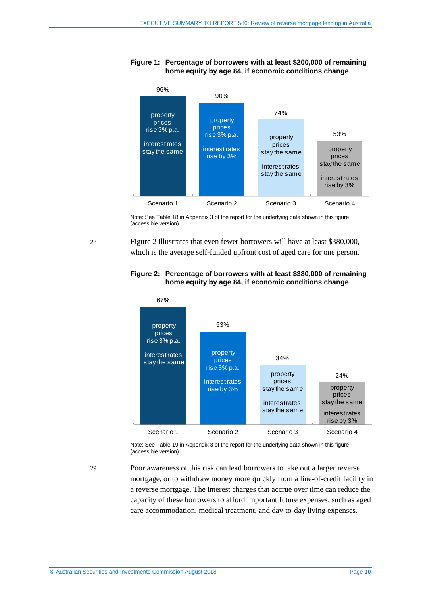#### <span id="page-9-0"></span>**Figure 1: Percentage of borrowers with at least \$200,000 of remaining home equity by age 84, if economic conditions change**



Note: See Table 18 in Appendix 3 of the report for the underlying data shown in this figure (accessible version).

<span id="page-9-1"></span>28 [Figure 2](#page-9-1) illustrates that even fewer borrowers will have at least \$380,000, which is the average self-funded upfront cost of aged care for one person.

#### **Figure 2: Percentage of borrowers with at least \$380,000 of remaining home equity by age 84, if economic conditions change**



Note: See Table 19 in Appendix 3 of the report for the underlying data shown in this figure (accessible version).

29 Poor awareness of this risk can lead borrowers to take out a larger reverse mortgage, or to withdraw money more quickly from a line-of-credit facility in a reverse mortgage. The interest charges that accrue over time can reduce the capacity of these borrowers to afford important future expenses, such as aged care accommodation, medical treatment, and day-to-day living expenses.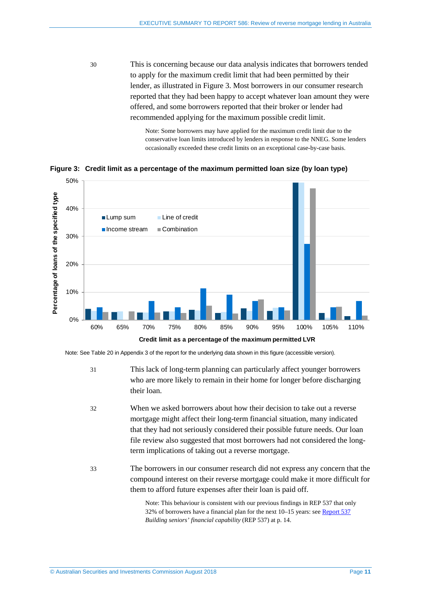30 This is concerning because our data analysis indicates that borrowers tended to apply for the maximum credit limit that had been permitted by their lender, as illustrated in [Figure 3.](#page-10-0) Most borrowers in our consumer research reported that they had been happy to accept whatever loan amount they were offered, and some borrowers reported that their broker or lender had recommended applying for the maximum possible credit limit.

> Note: Some borrowers may have applied for the maximum credit limit due to the conservative loan limits introduced by lenders in response to the NNEG. Some lenders occasionally exceeded these credit limits on an exceptional case-by-case basis.

<span id="page-10-0"></span>**Figure 3: Credit limit as a percentage of the maximum permitted loan size (by loan type)**



Note: See Table 20 in Appendix 3 of the report for the underlying data shown in this figure (accessible version).

- 31 This lack of long-term planning can particularly affect younger borrowers who are more likely to remain in their home for longer before discharging their loan.
- 32 When we asked borrowers about how their decision to take out a reverse mortgage might affect their long-term financial situation, many indicated that they had not seriously considered their possible future needs. Our loan file review also suggested that most borrowers had not considered the longterm implications of taking out a reverse mortgage.
- 33 The borrowers in our consumer research did not express any concern that the compound interest on their reverse mortgage could make it more difficult for them to afford future expenses after their loan is paid off.

Note: This behaviour is consistent with our previous findings in REP 537 that only 32% of borrowers have a financial plan for the next 10–15 years: se[e Report 537](http://asic.gov.au/regulatory-resources/find-a-document/reports/rep-537-building-seniors-financial-capability/) *Building seniors' financial capability* (REP 537) at p. 14.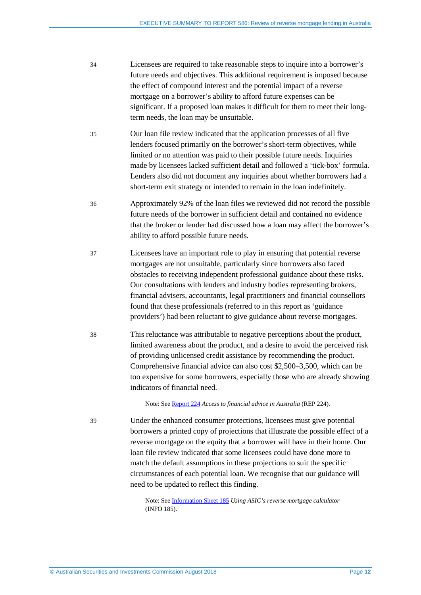- 34 Licensees are required to take reasonable steps to inquire into a borrower's future needs and objectives. This additional requirement is imposed because the effect of compound interest and the potential impact of a reverse mortgage on a borrower's ability to afford future expenses can be significant. If a proposed loan makes it difficult for them to meet their longterm needs, the loan may be unsuitable.
- 35 Our loan file review indicated that the application processes of all five lenders focused primarily on the borrower's short-term objectives, while limited or no attention was paid to their possible future needs. Inquiries made by licensees lacked sufficient detail and followed a 'tick-box' formula. Lenders also did not document any inquiries about whether borrowers had a short-term exit strategy or intended to remain in the loan indefinitely.
- 36 Approximately 92% of the loan files we reviewed did not record the possible future needs of the borrower in sufficient detail and contained no evidence that the broker or lender had discussed how a loan may affect the borrower's ability to afford possible future needs.
- 37 Licensees have an important role to play in ensuring that potential reverse mortgages are not unsuitable, particularly since borrowers also faced obstacles to receiving independent professional guidance about these risks. Our consultations with lenders and industry bodies representing brokers, financial advisers, accountants, legal practitioners and financial counsellors found that these professionals (referred to in this report as 'guidance providers') had been reluctant to give guidance about reverse mortgages.
- 38 This reluctance was attributable to negative perceptions about the product, limited awareness about the product, and a desire to avoid the perceived risk of providing unlicensed credit assistance by recommending the product. Comprehensive financial advice can also cost \$2,500–3,500, which can be too expensive for some borrowers, especially those who are already showing indicators of financial need.

Note: See [Report 224](http://asic.gov.au/regulatory-resources/find-a-document/reports/rep-224-access-to-financial-advice-in-australia/) *Access to financial advice in Australia* (REP 224).

39 Under the enhanced consumer protections, licensees must give potential borrowers a printed copy of projections that illustrate the possible effect of a reverse mortgage on the equity that a borrower will have in their home. Our loan file review indicated that some licensees could have done more to match the default assumptions in these projections to suit the specific circumstances of each potential loan. We recognise that our guidance will need to be updated to reflect this finding.

> Note: See [Information Sheet 185](https://asic.gov.au/regulatory-resources/credit/responsible-lending/using-asics-reverse-mortgage-calculator/) *Using ASIC's reverse mortgage calculator*  (INFO 185).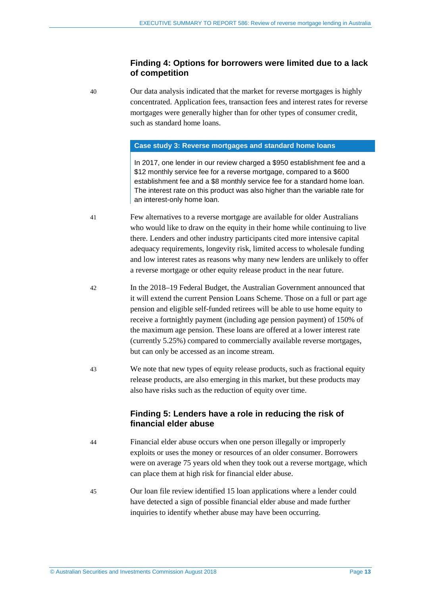### **Finding 4: Options for borrowers were limited due to a lack of competition**

<span id="page-12-0"></span>40 Our data analysis indicated that the market for reverse mortgages is highly concentrated. Application fees, transaction fees and interest rates for reverse mortgages were generally higher than for other types of consumer credit, such as standard home loans.

#### **Case study 3: Reverse mortgages and standard home loans**

In 2017, one lender in our review charged a \$950 establishment fee and a \$12 monthly service fee for a reverse mortgage, compared to a \$600 establishment fee and a \$8 monthly service fee for a standard home loan. The interest rate on this product was also higher than the variable rate for an interest-only home loan.

- 41 Few alternatives to a reverse mortgage are available for older Australians who would like to draw on the equity in their home while continuing to live there. Lenders and other industry participants cited more intensive capital adequacy requirements, longevity risk, limited access to wholesale funding and low interest rates as reasons why many new lenders are unlikely to offer a reverse mortgage or other equity release product in the near future.
- 42 In the 2018–19 Federal Budget, the Australian Government announced that it will extend the current Pension Loans Scheme. Those on a full or part age pension and eligible self-funded retirees will be able to use home equity to receive a fortnightly payment (including age pension payment) of 150% of the maximum age pension. These loans are offered at a lower interest rate (currently 5.25%) compared to commercially available reverse mortgages, but can only be accessed as an income stream.
- <span id="page-12-1"></span>43 We note that new types of equity release products, such as fractional equity release products, are also emerging in this market, but these products may also have risks such as the reduction of equity over time.

## **Finding 5: Lenders have a role in reducing the risk of financial elder abuse**

- 44 Financial elder abuse occurs when one person illegally or improperly exploits or uses the money or resources of an older consumer. Borrowers were on average 75 years old when they took out a reverse mortgage, which can place them at high risk for financial elder abuse.
- 45 Our loan file review identified 15 loan applications where a lender could have detected a sign of possible financial elder abuse and made further inquiries to identify whether abuse may have been occurring.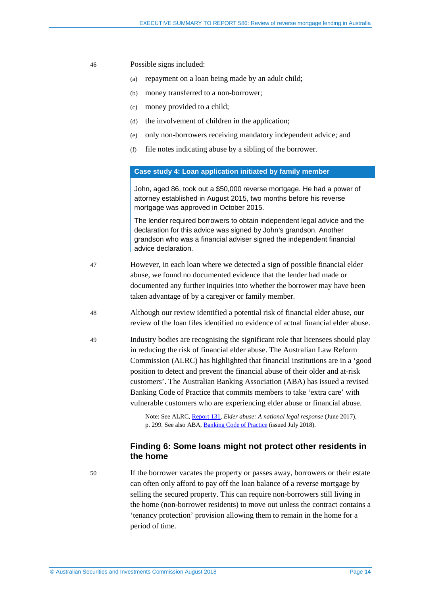- 46 Possible signs included:
	- (a) repayment on a loan being made by an adult child;
	- (b) money transferred to a non-borrower;
	- (c) money provided to a child;
	- (d) the involvement of children in the application;
	- (e) only non-borrowers receiving mandatory independent advice; and
	- (f) file notes indicating abuse by a sibling of the borrower.

#### **Case study 4: Loan application initiated by family member**

John, aged 86, took out a \$50,000 reverse mortgage. He had a power of attorney established in August 2015, two months before his reverse mortgage was approved in October 2015.

The lender required borrowers to obtain independent legal advice and the declaration for this advice was signed by John's grandson. Another grandson who was a financial adviser signed the independent financial advice declaration.

- 47 However, in each loan where we detected a sign of possible financial elder abuse, we found no documented evidence that the lender had made or documented any further inquiries into whether the borrower may have been taken advantage of by a caregiver or family member.
- 48 Although our review identified a potential risk of financial elder abuse, our review of the loan files identified no evidence of actual financial elder abuse.
- 49 Industry bodies are recognising the significant role that licensees should play in reducing the risk of financial elder abuse. The Australian Law Reform Commission (ALRC) has highlighted that financial institutions are in a 'good position to detect and prevent the financial abuse of their older and at-risk customers'. The Australian Banking Association (ABA) has issued a revised Banking Code of Practice that commits members to take 'extra care' with vulnerable customers who are experiencing elder abuse or financial abuse.

Note: See ALRC[, Report 131,](https://www.alrc.gov.au/publications/elder-abuse-report) *Elder abuse: A national legal response* (June 2017), p. 299. See also ABA, [Banking Code of Practice](https://www.ausbanking.org.au/code/) (issued July 2018).

### **Finding 6: Some loans might not protect other residents in the home**

<span id="page-13-0"></span>50 If the borrower vacates the property or passes away, borrowers or their estate can often only afford to pay off the loan balance of a reverse mortgage by selling the secured property. This can require non-borrowers still living in the home (non-borrower residents) to move out unless the contract contains a 'tenancy protection' provision allowing them to remain in the home for a period of time.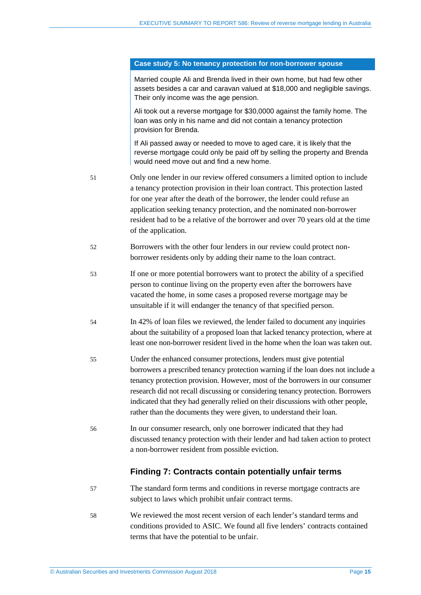#### **Case study 5: No tenancy protection for non-borrower spouse**

Married couple Ali and Brenda lived in their own home, but had few other assets besides a car and caravan valued at \$18,000 and negligible savings. Their only income was the age pension.

Ali took out a reverse mortgage for \$30,0000 against the family home. The loan was only in his name and did not contain a tenancy protection provision for Brenda.

If Ali passed away or needed to move to aged care, it is likely that the reverse mortgage could only be paid off by selling the property and Brenda would need move out and find a new home.

- 51 Only one lender in our review offered consumers a limited option to include a tenancy protection provision in their loan contract. This protection lasted for one year after the death of the borrower, the lender could refuse an application seeking tenancy protection, and the nominated non-borrower resident had to be a relative of the borrower and over 70 years old at the time of the application.
- 52 Borrowers with the other four lenders in our review could protect nonborrower residents only by adding their name to the loan contract.
- 53 If one or more potential borrowers want to protect the ability of a specified person to continue living on the property even after the borrowers have vacated the home, in some cases a proposed reverse mortgage may be unsuitable if it will endanger the tenancy of that specified person.
- 54 In 42% of loan files we reviewed, the lender failed to document any inquiries about the suitability of a proposed loan that lacked tenancy protection, where at least one non-borrower resident lived in the home when the loan was taken out.
- 55 Under the enhanced consumer protections, lenders must give potential borrowers a prescribed tenancy protection warning if the loan does not include a tenancy protection provision. However, most of the borrowers in our consumer research did not recall discussing or considering tenancy protection. Borrowers indicated that they had generally relied on their discussions with other people, rather than the documents they were given, to understand their loan.
- <span id="page-14-0"></span>56 In our consumer research, only one borrower indicated that they had discussed tenancy protection with their lender and had taken action to protect a non-borrower resident from possible eviction.

#### **Finding 7: Contracts contain potentially unfair terms**

- 57 The standard form terms and conditions in reverse mortgage contracts are subject to laws which prohibit unfair contract terms.
- 58 We reviewed the most recent version of each lender's standard terms and conditions provided to ASIC. We found all five lenders' contracts contained terms that have the potential to be unfair.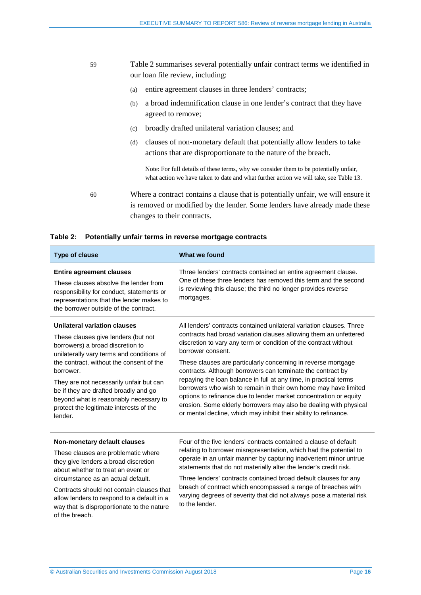- 59 [Table 2](#page-15-0) summarises several potentially unfair contract terms we identified in our loan file review, including:
	- (a) entire agreement clauses in three lenders' contracts;
	- (b) a broad indemnification clause in one lender's contract that they have agreed to remove;
	- (c) broadly drafted unilateral variation clauses; and
	- (d) clauses of non-monetary default that potentially allow lenders to take actions that are disproportionate to the nature of the breach.

Note: For full details of these terms, why we consider them to be potentially unfair, what action we have taken to date and what further action we will take, see Table 13.

60 Where a contract contains a clause that is potentially unfair, we will ensure it is removed or modified by the lender. Some lenders have already made these changes to their contracts.

#### <span id="page-15-0"></span>**Table 2: Potentially unfair terms in reverse mortgage contracts**

| <b>Type of clause</b>                                                                                                                                                                                                                                                                                                                                                                             | What we found                                                                                                                                                                                                                                                                                                                                                                                                                                                                                                                                                                                                                                                                                                            |
|---------------------------------------------------------------------------------------------------------------------------------------------------------------------------------------------------------------------------------------------------------------------------------------------------------------------------------------------------------------------------------------------------|--------------------------------------------------------------------------------------------------------------------------------------------------------------------------------------------------------------------------------------------------------------------------------------------------------------------------------------------------------------------------------------------------------------------------------------------------------------------------------------------------------------------------------------------------------------------------------------------------------------------------------------------------------------------------------------------------------------------------|
| <b>Entire agreement clauses</b><br>These clauses absolve the lender from<br>responsibility for conduct, statements or<br>representations that the lender makes to<br>the borrower outside of the contract.                                                                                                                                                                                        | Three lenders' contracts contained an entire agreement clause.<br>One of these three lenders has removed this term and the second<br>is reviewing this clause; the third no longer provides reverse<br>mortgages.                                                                                                                                                                                                                                                                                                                                                                                                                                                                                                        |
| Unilateral variation clauses<br>These clauses give lenders (but not<br>borrowers) a broad discretion to<br>unilaterally vary terms and conditions of<br>the contract, without the consent of the<br>borrower.<br>They are not necessarily unfair but can<br>be if they are drafted broadly and go<br>beyond what is reasonably necessary to<br>protect the legitimate interests of the<br>lender. | All lenders' contracts contained unilateral variation clauses. Three<br>contracts had broad variation clauses allowing them an unfettered<br>discretion to vary any term or condition of the contract without<br>borrower consent.<br>These clauses are particularly concerning in reverse mortgage<br>contracts. Although borrowers can terminate the contract by<br>repaying the loan balance in full at any time, in practical terms<br>borrowers who wish to remain in their own home may have limited<br>options to refinance due to lender market concentration or equity<br>erosion. Some elderly borrowers may also be dealing with physical<br>or mental decline, which may inhibit their ability to refinance. |
| Non-monetary default clauses<br>These clauses are problematic where<br>they give lenders a broad discretion<br>about whether to treat an event or<br>circumstance as an actual default.<br>Contracts should not contain clauses that<br>allow lenders to respond to a default in a<br>way that is disproportionate to the nature<br>of the breach.                                                | Four of the five lenders' contracts contained a clause of default<br>relating to borrower misrepresentation, which had the potential to<br>operate in an unfair manner by capturing inadvertent minor untrue<br>statements that do not materially alter the lender's credit risk.<br>Three lenders' contracts contained broad default clauses for any<br>breach of contract which encompassed a range of breaches with<br>varying degrees of severity that did not always pose a material risk<br>to the lender.                                                                                                                                                                                                         |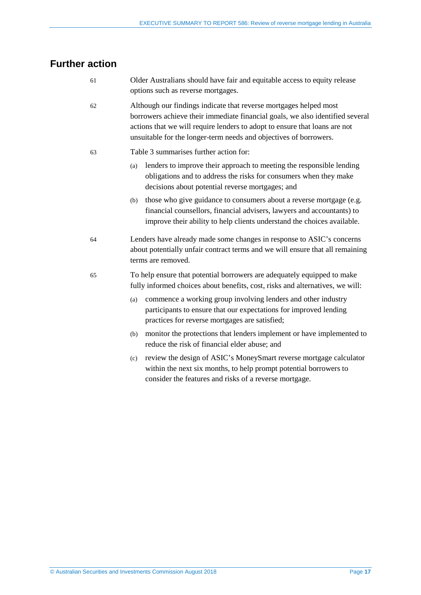# <span id="page-16-0"></span>**Further action**

- 61 Older Australians should have fair and equitable access to equity release options such as reverse mortgages.
- 62 Although our findings indicate that reverse mortgages helped most borrowers achieve their immediate financial goals, we also identified several actions that we will require lenders to adopt to ensure that loans are not unsuitable for the longer-term needs and objectives of borrowers.
- 63 [Table 3](#page-17-0) summarises further action for:
	- (a) lenders to improve their approach to meeting the responsible lending obligations and to address the risks for consumers when they make decisions about potential reverse mortgages; and
	- (b) those who give guidance to consumers about a reverse mortgage (e.g. financial counsellors, financial advisers, lawyers and accountants) to improve their ability to help clients understand the choices available.
- 64 Lenders have already made some changes in response to ASIC's concerns about potentially unfair contract terms and we will ensure that all remaining terms are removed.
- 65 To help ensure that potential borrowers are adequately equipped to make fully informed choices about benefits, cost, risks and alternatives, we will:
	- (a) commence a working group involving lenders and other industry participants to ensure that our expectations for improved lending practices for reverse mortgages are satisfied;
	- (b) monitor the protections that lenders implement or have implemented to reduce the risk of financial elder abuse; and
	- (c) review the design of ASIC's MoneySmart reverse mortgage calculator within the next six months, to help prompt potential borrowers to consider the features and risks of a reverse mortgage.